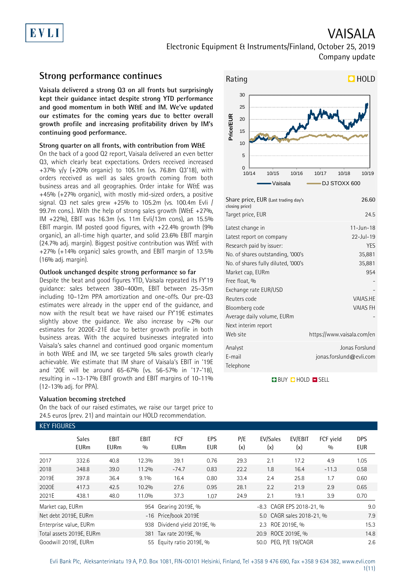

## VAISALA Electronic Equipment & Instruments/Finland, October 25, 2019 Company update

## **Strong performance continues**

**Vaisala delivered a strong Q3 on all fronts but surprisingly kept their guidance intact despite strong YTD performance and good momentum in both W&E and IM. We've updated our estimates for the coming years due to better overall growth profile and increasing profitability driven by IM's continuing good performance.** 

### **Strong quarter on all fronts, with contribution from W&E**

On the back of a good Q2 report, Vaisala delivered an even better Q3, which clearly beat expectations. Orders received increased +37% y/y (+20% organic) to 105.1m (vs. 76.8m Q3'18), with orders received as well as sales growth coming from both business areas and all geographies. Order intake for W&E was +45% (+27% organic), with mostly mid-sized orders, a positive signal. Q3 net sales grew +25% to 105.2m (vs. 100.4m Evli / 99.7m cons.). With the help of strong sales growth (W&E +27%, IM +22%), EBIT was 16.3m (vs. 11m Evli/13m cons), an 15.5% EBIT margin. IM posted good figures, with +22.4% growth (9% organic), an all-time high quarter, and solid 23.6% EBIT margin (24.7% adj. margin). Biggest positive contribution was W&E with +27% (+14% organic) sales growth, and EBIT margin of 13.5% (16% adj. margin).

### **Outlook unchanged despite strong performance so far**

Despite the beat and good figures YTD, Vaisala repeated its FY'19 guidance: sales between 380–400m, EBIT between 25–35m including 10–12m PPA amortization and one-offs. Our pre-Q3 estimates were already in the upper end of the guidance, and now with the result beat we have raised our FY'19E estimates slightly above the guidance. We also increase by  $\sim$ 2% our estimates for 2020E-21E due to better growth profile in both business areas. With the acquired businesses integrated into Vaisala's sales channel and continued good organic momentum in both W&E and IM, we see targeted 5% sales growth clearly achievable. We estimate that IM share of Vaisala's EBIT in '19E and '20E will be around 65-67% (vs. 56-57% in '17-'18), resulting in  $\sim$ 13-17% EBIT growth and EBIT margins of 10-11% (12-13% adj. for PPA).

### **Valuation becoming stretched**

KEY FIGURES

On the back of our raised estimates, we raise our target price to 24.5 euros (prev. 21) and maintain our HOLD recommendation.



| Share price, EUR (Last trading day's<br>closing price)                                                                                                                   | 26.60                                                                              |
|--------------------------------------------------------------------------------------------------------------------------------------------------------------------------|------------------------------------------------------------------------------------|
| Target price, EUR                                                                                                                                                        | 24.5                                                                               |
| Latest change in<br>Latest report on company<br>Research paid by issuer:<br>No. of shares outstanding, '000's<br>No. of shares fully diluted, '000's<br>Market cap, EURm | $11 - \text{Jun} - 18$<br>$22 - Jul - 19$<br><b>YES</b><br>35,881<br>35,881<br>954 |
| Free float, %<br>Exchange rate EUR/USD<br>Reuters code<br>Bloomberg code<br>Average daily volume, EURm<br>Next interim report<br>Web site                                | <b>VAIAS.HE</b><br><b>VAIAS FH</b><br>https://www.vaisala.com/en                   |
| Analyst<br>E-mail<br>Telephone                                                                                                                                           | Jonas Forslund<br>jonas.forslund@evli.com                                          |

**BUY QHOLD SELL** 

|                  | <b>Sales</b><br><b>EURm</b> | <b>EBIT</b><br><b>EURm</b> | <b>EBIT</b><br>0/0 | <b>FCF</b><br><b>EURm</b>   | <b>EPS</b><br>EUR | P/E<br>(x) | EV/Sales<br>(x)          | EV/EBIT<br>(x)            | FCF yield<br>0/0 | <b>DPS</b><br><b>EUR</b> |
|------------------|-----------------------------|----------------------------|--------------------|-----------------------------|-------------------|------------|--------------------------|---------------------------|------------------|--------------------------|
| 2017             | 332.6                       | 40.8                       | 12.3%              | 39.1                        | 0.76              | 29.3       | 2.1                      | 17.2                      | 4.9              | 1.05                     |
| 2018             | 348.8                       | 39.0                       | 11.2%              | $-74.7$                     | 0.83              | 22.2       | 1.8                      | 16.4                      | $-11.3$          | 0.58                     |
| 2019E            | 397.8                       | 36.4                       | $9.1\%$            | 16.4                        | 0.80              | 33.4       | 2.4                      | 25.8                      | 1.7              | 0.60                     |
| 2020E            | 417.3                       | 42.5                       | 10.2%              | 27.6                        | 0.95              | 28.1       | 2.2                      | 21.9                      | 2.9              | 0.65                     |
| 2021E            | 438.1                       | 48.0                       | 11.0%              | 37.3                        | 1.07              | 24.9       | 2.1                      | 19.1                      | 3.9              | 0.70                     |
| Market cap, EURm |                             |                            |                    | 954 Gearing 2019E, %        |                   |            | -8.3 CAGR EPS 2018-21, % |                           |                  | 9.0                      |
|                  | Net debt 2019E, EURm        |                            |                    | -16 Price/book 2019E        |                   |            |                          | 5.0 CAGR sales 2018-21, % |                  | 7.9                      |
|                  | Enterprise value, EURm      |                            |                    | 938 Dividend yield 2019E, % |                   |            | 2.3 ROE 2019E, %         |                           |                  | 15.3                     |
|                  | Total assets 2019E, EURm    |                            |                    | 381 Tax rate 2019E, %       |                   |            | 20.9 ROCE 2019E, %       |                           |                  | 14.8                     |
|                  | Goodwill 2019E, EURm        |                            |                    | 55 Equity ratio 2019E, %    |                   |            | 50.0 PEG, P/E 19/CAGR    |                           |                  | 2.6                      |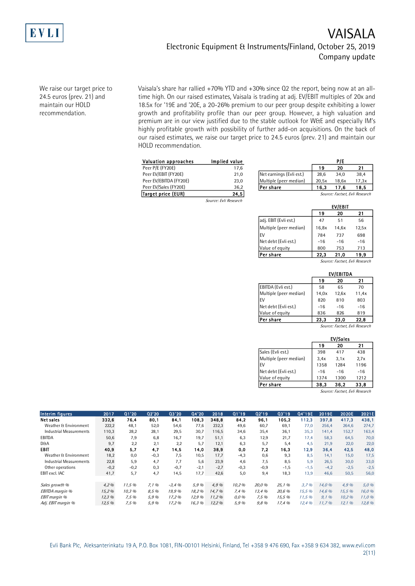

## VAISALA Electronic Equipment & Instruments/Finland, October 25, 2019 Company update

We raise our target price to 24.5 euros (prev. 21) and maintain our HOLD recommendation.

Vaisala's share har rallied +70% YTD and +30% since Q2 the report, being now at an alltime high. On our raised estimates, Vaisala is trading at adj. EV/EBIT multiples of 20x and 18.5x for '19E and '20E, a 20-26% premium to our peer group despite exhibiting a lower growth and profitability profile than our peer group. However, a high valuation and premium are in our view justified due to the stable outlook for W&E and especially IM's highly profitable growth with possibility of further add-on acquisitions. On the back of our raised estimates, we raise our target price to 24.5 euros (prev. 21) and maintain our HOLD recommendation.

| FULD recommendation.   |                       |                          |       |                             |      |
|------------------------|-----------------------|--------------------------|-------|-----------------------------|------|
| Valuation approaches   | Implied value         |                          |       | P/E                         |      |
| Peer P/E (FY20E)       | 17.6                  |                          | 19    | 20                          | 21   |
| Peer EV/EBIT (FY20E)   | 21,0                  | Net earnings (Evli est.) | 28.6  | 34.0                        | 38.4 |
| Peer EV/EBITDA (FY20E) | 23,0                  | Multiple (peer median)   | 20,5x | 18,6x                       | 17,3 |
| Peer EV/Sales (FY20E)  | 36,2                  | lPer share               | 16.3  | 17.6                        | 18,  |
| Target price (EUR)     | 24,5                  |                          |       | Source: Factset, Evli Rese. |      |
|                        | Source: Fyli Research |                          |       |                             |      |

| Valuation approaches   | Implied value |                          |       | P/E   |                                                                                                                                                                                                                                                                                                               |
|------------------------|---------------|--------------------------|-------|-------|---------------------------------------------------------------------------------------------------------------------------------------------------------------------------------------------------------------------------------------------------------------------------------------------------------------|
| Peer P/E (FY20E)       | 17.6          |                          | 19    | 20    | 21                                                                                                                                                                                                                                                                                                            |
| Peer EV/EBIT (FY20E)   | 21.0          | Net earnings (Evli est.) | 28.6  | 34.0  | 38.4                                                                                                                                                                                                                                                                                                          |
| Peer EV/EBITDA (FY20E) | 23.0          | Multiple (peer median)   | 20.5x | 18.6x | 17,3x                                                                                                                                                                                                                                                                                                         |
| Peer EV/Sales (FY20E)  | 36.2          | <b>Per share</b>         | 16.3  | 17.6  | 18.5                                                                                                                                                                                                                                                                                                          |
| Tagaat aylaa (CUD)     | 94 F I        |                          |       |       | $C_{\text{2}}$ and $C_{\text{2}}$ and $C_{\text{2}}$ and $C_{\text{2}}$ and $C_{\text{2}}$ and $C_{\text{2}}$ and $C_{\text{2}}$ and $C_{\text{2}}$ and $C_{\text{2}}$ and $C_{\text{2}}$ and $C_{\text{2}}$ and $C_{\text{2}}$ and $C_{\text{2}}$ and $C_{\text{2}}$ and $C_{\text{2}}$ and $C_{\text{2}}$ a |

| Target price (EUR) | 24,5                  |                        |       |         | Source: Factset, Evli Research |
|--------------------|-----------------------|------------------------|-------|---------|--------------------------------|
|                    | Source: Evli Research |                        |       |         |                                |
|                    |                       |                        |       | EV/EBIT |                                |
|                    |                       |                        | 19    | 20      | 21                             |
|                    |                       | adj. EBIT (Evli est.)  | 47    | 51      | 56                             |
|                    |                       | Multiple (peer median) | 16,8x | 14,6x   | 12,5x                          |
|                    |                       | EV                     | 784   | 737     | 698                            |
|                    |                       | Net debt (Evli est.)   | $-16$ | $-16$   | $-16$                          |
|                    |                       | Value of equity        | 800   | 753     | 713                            |
|                    |                       | Per share              | 22,3  | 21,0    | 19,9                           |
|                    |                       |                        |       |         |                                |

|                        |       |                  | Source: Factset, Evli Research |
|------------------------|-------|------------------|--------------------------------|
|                        |       | <b>EV/EBITDA</b> |                                |
|                        | 19    | 20               | 21                             |
| EBITDA (Evli est.)     | 58    | 65               | 70                             |
| Multiple (peer median) | 14,0x | 12,6x            | 11,4x                          |
| EV                     | 820   | 810              | 803                            |
| Net debt (Evli est.)   | $-16$ | $-16$            | $-16$                          |
| Value of equity        | 836   | 826              | 819                            |
| lPer share             | 23,3  | 23.0             | 22,8                           |
|                        |       |                  |                                |

|                        |       |                 | Source: Factset, Evli Research |
|------------------------|-------|-----------------|--------------------------------|
|                        |       | <b>EV/Sales</b> |                                |
|                        | 19    | 20              | 21                             |
| Sales (Evli est.)      | 398   | 417             | 438                            |
| Multiple (peer median) | 3.4x  | 3.1x            | 2.7x                           |
| <b>FV</b>              | 1358  | 1284            | 1196                           |
| Net debt (Evli est.)   | $-16$ | $-16$           | $-16$                          |
| Value of equity        | 1374  | 1300            | 1212                           |
| Per share              | 38.3  | 36,2            | 33,8                           |

Source: Factset, Evli Research

| <b>Interim figures</b>         | 2017   | Q1'20  | 02'20  | 03'20   | Q4'20  | 2018   | Q1'19   | 02'19  | Q3'19  | Q4'19E | 2019E  | 2020E  | 2021E  |
|--------------------------------|--------|--------|--------|---------|--------|--------|---------|--------|--------|--------|--------|--------|--------|
| <b>Net sales</b>               | 332.6  | 76.4   | 80.1   | 84.1    | 108,3  | 348.8  | 84.2    | 96,1   | 105.2  | 112,3  | 397,8  | 417,3  | 438,1  |
| Weather & Environment          | 222,2  | 48,1   | 52,0   | 54,6    | 77,6   | 232.3  | 49,6    | 60,7   | 69,1   | 77.0   | 256.4  | 264.6  | 274,7  |
| <b>Industrial Measurements</b> | 110,3  | 28,2   | 28,1   | 29,5    | 30,7   | 116,5  | 34,6    | 35,4   | 36,1   | 35,3   | 141,4  | 152,7  | 163,4  |
| EBITDA                         | 50,6   | 7,9    | 6,8    | 16,7    | 19,7   | 51,1   | 6,3     | 12,9   | 21,7   | 17,4   | 58,3   | 64,5   | 70,0   |
| <b>D&amp;A</b>                 | 9,7    | 2,2    | 2,1    | 2,2     | 5,7    | 12,1   | 6,3     | 5,7    | 5,4    | 4,5    | 21,9   | 22,0   | 22,0   |
| EBIT                           | 40,9   | 5,7    | 4.7    | 14,5    | 14.0   | 38,9   | 0,0     | 7,2    | 16.3   | 12,9   | 36,4   | 42,5   | 48,0   |
| Weather & Environment          | 18,2   | 0,0    | $-0,3$ | 7,5     | 10,5   | 17,7   | $-4,3$  | 0,6    | 9,3    | 8,5    | 14.1   | 15,0   | 17,5   |
| <b>Industrial Measurements</b> | 22,8   | 5,9    | 4,7    | 7.7     | 5,6    | 23,9   | 4.6     | 7,5    | 8,5    | 5,9    | 26,5   | 30,0   | 33,0   |
| Other operations               | $-0,2$ | $-0,2$ | 0,3    | $-0,7$  | $-2,1$ | $-2,7$ | $-0,3$  | $-0,9$ | $-1,5$ | $-1,5$ | $-4,2$ | $-2,5$ | $-2,5$ |
| EBIT excl. IAC                 | 41,7   | 5,7    | 4,7    | 14,5    | 17,7   | 42,6   | 5,0     | 9,4    | 18,3   | 13,9   | 46,6   | 50,5   | 56,0   |
| Sales growth %                 | 4,2%   | 11.5%  | 7.1%   | $-3.4%$ | 5,9%   | 4.9%   | 10,2%   | 20.0%  | 25.1%  | 3.7%   | 14.0%  | 4,9%   | 5,0 %  |
| EBITDA margin %                | 15,2%  | 10.3%  | 8,5 %  | 19.9%   | 18,2%  | 14.7%  | 7,4%    | 13,4 % | 20,6 % | 15.5 % | 14.6%  | 15,5 % | 16,0 % |
| <b>EBIT</b> margin %           | 12,3%  | 7.5%   | 5.9%   | 17.2%   | 12,9 % | 11.2%  | $0.0\%$ | 7.5%   | 15.5%  | 11.5%  | 9.1%   | 10.2%  | 11,0%  |
| Adj. EBIT margin %             | 12,5 % | 7,5%   | 5,9%   | 17,2%   | 16,3 % | 12,2%  | 5,9 %   | 9,8%   | 17,4 % | 12.4%  | 11,7%  | 12,1 % | 12,8 % |

Evli Bank Plc, Aleksanterinkatu 19 A, P.O. Box 1081, FIN-00101 Helsinki, Finland, Tel +358 9 476 690, Fax +358 9 634 382, [www.evli.com](http://www.evli.com/) 2(11)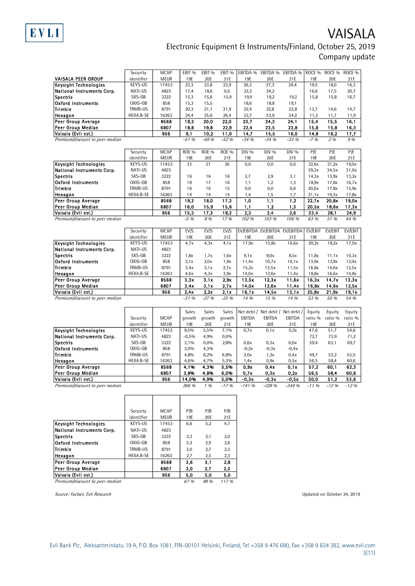

# VAISALA Electronic Equipment & Instruments/Finland, October 25, 2019 Company update

|                                          | Security   | <b>MCAP</b> | EBIT <sub>%</sub> | EBIT <sub>%</sub> | EBIT <sub>%</sub> |              | EBITDA % EBITDA % EBITDA %     |               | ROCE %       | ROCE %       | ROCE <sub>%</sub> |
|------------------------------------------|------------|-------------|-------------------|-------------------|-------------------|--------------|--------------------------------|---------------|--------------|--------------|-------------------|
| VAISALA PEER GROUP                       | identifier | <b>MEUR</b> | 19E               | 20E               | 21E               | 19E          | 20E                            | 21E           | 19E          | 20E          | 21E               |
| <b>Keysight Technologies</b>             | KEYS-US    | 17453       | 23,3              | 23,8              | 23,9              | 26,3         | 27,3                           | 24,4          | 19,5         | 18,0         | 16,3              |
| National Instruments Corp.               | NATI-US    | 4823        | 17,4              | 18,6              | 0,0               | 22,3         | 24,2                           |               | 16,6         | 17,5         | 20,7              |
| <b>Spectris</b>                          | SXS-GB     | 3222        | 15,3              | 15,6              | 15,9              | 19,9         | 19,2                           | 19,2          | 15,8         | 15,8         | 16,7              |
| <b>Oxford Instruments</b>                | OXIG-GB    | 858         | 15,3              | 15,5              |                   | 18,6         | 18,8                           | 19,1          |              |              |                   |
| Trimble                                  | TRMB-US    | 8791        | 20,3              | 21,1              | 21,9              | 22,4         | 22,8                           | 23,8          | 13,7         | 14,6         | 14,7              |
| Hexagon                                  | HEXA.B-SE  | 16263       | 24,4              | 25,6              | 26,4              | 32,7         | 33,9                           | 34,2          | 11,2         | 11,7         | 11,9              |
| Peer Group Average                       |            | 8568        | 19,3              | 20,0              | 22,0              | 23,7         | 24,3                           | 24,1          | 15,4         | 15.5         | 16,1              |
| Peer Group Median                        |            | 6807        | 18,8              | 19,8              | 22,9              | 22,4         | 23,5                           | 23,8          | 15,8         | 15,8         | 16,3              |
| Vaisala (Evli est.)                      |            | 956         | 9.1               | 10,2              | 11,0              | 14,7         | 15,5                           | 16,0          | 14,8         | 16,2         | 17,7              |
| Premium/discount to peer median          |            |             | $-51%$            | $-49%$            | $-52%$            | $-34.06$     | $-34%$                         | $-33.96$      | $-7.96$      | 2%           | 9 %               |
|                                          |            |             |                   |                   |                   |              |                                |               |              |              |                   |
|                                          | Security   | <b>MCAP</b> | <b>ROE %</b>      | <b>ROE %</b>      | <b>ROE %</b>      | DIV %        | DIV %                          | DIV %         | P/E          | P/E          | P/E               |
|                                          | identifier | <b>MEUR</b> | 19E               | 20E               | 21E               | 19E          | 20E                            | 21E           | 19E          | 20E          | 21E               |
| <b>Keysight Technologies</b>             | KEYS-US    | 17453       | 32                | 27                | 26                | 0,0          | 0,0                            | 0,0           | 22,6x        | 21,2x        | 19,0x             |
| National Instruments Corp.               | NATI-US    | 4823        |                   |                   |                   |              |                                |               | 39,3x        | 34,5x        | 31,0x             |
| <b>Spectris</b>                          | SXS-GB     | 3222        | 16                | 16                | 16                | 2,7          | 2,9                            | 3,1           | 14,3x        | 13,9x        | 13,2x             |
| <b>Oxford Instruments</b>                | OXIG-GB    | 858         | 18                | 17                | 16                | 1,1          | 1,2                            | 1,3           | 18,9x        | 17,8x        | 16,7x             |
| Trimble                                  | TRMB-US    | 8791        | 16                | 16                | 15                |              |                                |               |              |              |                   |
|                                          |            |             |                   |                   |                   | 0,0          | 0,0                            | 0,0           | 20,0x        | 17,8x        | 15,9x             |
| Hexagon                                  | HEXA.B-SE  | 16263       | 14                | 14                | 14                | 1,4          | 1,5                            | 1,7           | 21,1x        | 19,3x        | 17,8x             |
| Peer Group Average                       |            | 8568        | 19,2              | 18,0              | 17,3              | 1,0          | 1,1                            | 1,2           | 22,7x        | 20,8x        | 19,0x             |
| Peer Group Median                        |            | 6807        | 16,0              | 15,9              | 15,6              | 1,1          | 1,2                            | 1,3           | 20,5x        | 18,6x        | 17,3x             |
| Vaisala (Evli est.)                      |            | 956         | 15,3<br>$-5\%$    | 17,3<br>8 %       | 18,2<br>17 %      | 2,3<br>102 % | 2,4<br>103 %                   | 2,6<br>106 %  | 33,4<br>63 % | 28,1<br>51 % | 24,9<br>44 %      |
| Premium/discount to peer median          |            |             |                   |                   |                   |              |                                |               |              |              |                   |
|                                          | Security   | <b>MCAP</b> | EV/S              | EV/S              | EV/S              |              | EV/EBITDA EV/EBITDA EV/EBITDA  |               | EV/EBIT      | EV/EBIT      | EV/EBIT           |
|                                          | identifier | <b>MEUR</b> | 19E               | 20E               | 21E               | 19E          | 20E                            | 21E           | 19E          | 20E          | 21E               |
| <b>Keysight Technologies</b>             | KEYS-US    | 17453       | 4,7x              | 4.3x              | 4.1x              | 17,9x        | 15,8x                          | 16,6x         | 20,2x        | 18,2x        | 17,0x             |
| National Instruments Corp.               | NATI-US    | 4823        |                   |                   |                   |              |                                |               |              |              |                   |
| <b>Spectris</b>                          | SXS-GB     | 3222        | 1,8x              | 1,7x              | 1,6x              | 9.1x         | 9,0x                           | 8.5x          | 11,8x        | 11,1x        | 10,3x             |
| <b>Oxford Instruments</b>                |            |             |                   |                   |                   |              |                                |               |              |              |                   |
|                                          | OXIG-GB    | 858         | 2,1x              | 2,0x              | 1,9x              | 11,4x        | 10,7x                          | 10,1x         | 13,9x        | 12,9x        | 12,0x             |
| Trimble                                  | TRMB-US    | 8791        | 3,4x              | 3,1x              | 2,7x              | 15,2x        | 13,5x                          | 11,5x         | 16,8x        | 14,6x        | 12,5x             |
| Hexagon                                  | HEXA.B-SE  | 16263       | 4,6x              | 4,3x              | 3,9x              | 14,0x        | 12,6x                          | 11,4x         | 18,8x        | 16,6x        | 14,8x             |
|                                          |            |             |                   |                   |                   |              |                                |               |              |              |                   |
| Peer Group Average                       |            | 8568        | 3,3x              | 3.1x              | 2,9x              | 13,5x        | 12,3x                          | 11,6x         | 16,3x        | 14,7x        | 13,3x             |
| Peer Group Median                        |            | 6807        | 3,4x              | 3,1x              | 2,7x              | 14,0x        | 12,6x                          | 11,4x         | 16,8x        | 14,6x        | 12,5x             |
| Vaisala (Evli est.)                      |            | 956         | 2,4x              | 2,2x              | 2,1x              | 16,1x        | 14,5x                          | 13,1x         | 25,8x        | 21,9x        | 19,1x             |
| Premium/discount to peer median          |            |             | $-31%$            | $-27.96$          | $-23, 96$         | 14 %         | 15 %                           | 14 %          | 53 %         | 50 %         | 54 %              |
|                                          |            |             |                   |                   |                   |              |                                |               |              |              |                   |
|                                          |            |             | Sales             | Sales             | Sales             |              | Net debt / Net debt / Net debt |               | Equity       | Equity       | Equity            |
|                                          | Security   | <b>MCAP</b> | growth            | growth            | growth            | EBITDA       | EBITDA                         | <b>EBITDA</b> | ratio %      | ratio %      | ratio %           |
|                                          | identifier | <b>MEUR</b> | 19E               | 20E               | 21E               | 19E          | 20E                            | 21E           | 19E          | 20E          | 21E               |
| Keysight Technologies                    | KEYS-US    | 17453       | 9,5%              | 5,5%              | 7,1%              | 0.7x         | 0,1x                           | 0.2x          | 47,6         | 51,7         | 54,6              |
| National Instruments Corp.               | NATI-US    | 4823        | $-0,5%$           | 4,9%              | 0,0%              |              |                                |               | 72,7         | 73,9         | 71,2              |
| <b>Spectris</b>                          | SXS-GB     | 3222        | 3,1%              | 0,0%              | 2,8%              | 0,6x         | 0,3x                           | 0,0x          | 59,4         | 63,1         | 69,7              |
| <b>Oxford Instruments</b>                | OXIG-GB    | 858         | 3,0%              | 4,3%              |                   | $-0,2x$      | $-0,3x$                        | $-0,4x$       |              |              |                   |
| Trimble                                  | TRMB-US    | 8791        | 4,8%              | 6,2%              | 6,8%              | 2,0x         | 1,2x                           | 0,4x          | 49,7         | 53,2         | 55,5              |
| Hexagon                                  | HEXA.B-SE  | 16263       | 4,6%              | 4,7%              | 5,3%              | 1,4x         | 0,9x                           | 0,5x          | 56,5         | 58,4         | 60,6              |
| <b>Peer Group Average</b>                |            | 8568        | 4,1%              | 4,3%              | 5,5%              | 0.9x         | 0.4x                           | 0,1x          | 57,2         | 60.1         | 62,3              |
| Peer Group Median                        |            | 6807        | 3,8%              | 4,8%              | 6,0%              | 0.7x         | 0,3x                           | 0,2x          | 56,5         | 58,4         | 60,6              |
| Vaisala (Evli est.)                      |            | 956         | 14.0%             | 4.9%              | 5.0%              | $-0.3x$      | -0.3x                          | $-0.5x$       | 50.0         | 51.2         | 53.6              |
| Premium/discount to peer median          |            |             | 266 %             | $1\%$             | $-17%$            | $-141%$      | $-228%$                        | $-349%$       | $-11\%$      | $-12%$       | $-12%$            |
|                                          |            |             |                   |                   |                   |              |                                |               |              |              |                   |
|                                          |            |             |                   |                   |                   |              |                                |               |              |              |                   |
|                                          |            |             |                   |                   |                   |              |                                |               |              |              |                   |
|                                          | Security   | <b>MCAP</b> | P/B               | P/B               | P/B               |              |                                |               |              |              |                   |
|                                          | identifier | MEUR        | 19E               | 20E               | 21 E              |              |                                |               |              |              |                   |
| <b>Keysight Technologies</b>             | KEYS-US    | 17453       | 6,6               | 5,2               | 4,7               |              |                                |               |              |              |                   |
| National Instruments Corp.               | NATI-US    | 4823        |                   |                   |                   |              |                                |               |              |              |                   |
| <b>Spectris</b>                          | SXS-GB     | 3222        | 2,3               | 2,1               | 2,0               |              |                                |               |              |              |                   |
| <b>Oxford Instruments</b>                | OXIG-GB    | 858         |                   |                   | 2,6               |              |                                |               |              |              |                   |
|                                          |            |             | 3,3               | 2,9               |                   |              |                                |               |              |              |                   |
| Trimble                                  | TRMB-US    | 8791        | 3,0               | 2,7               | 2,3               |              |                                |               |              |              |                   |
| Hexagon                                  | HEXA.B-SE  | 16263       | 2,7               | 2,5               | 2,3               |              |                                |               |              |              |                   |
| Peer Group Average                       |            | 8568        | 3,6               | 3,1               | 2,8               |              |                                |               |              |              |                   |
| Peer Group Median<br>Vaisala (Evli est.) |            | 6807<br>956 | 3,0<br>5,0        | 2,7<br>5,0        | 2,3<br>5,0        |              |                                |               |              |              |                   |

Premium/discount to peer median 67 % 89 % 117 %

Source: Factset, Evli Research Updated on October 24, 2019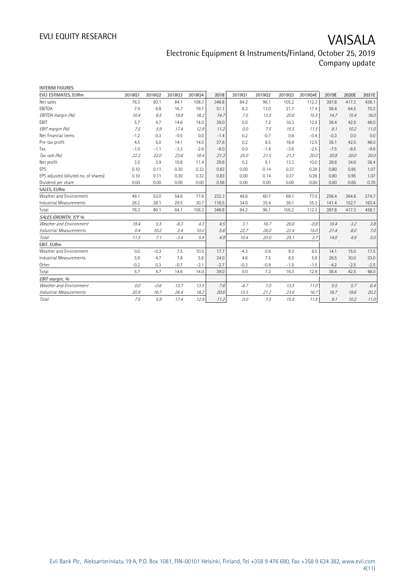# EVLI EQUITY RESEARCH VAISALA

## Electronic Equipment & Instruments/Finland, October 25, 2019 Company update

| <b>INTERIM FIGURES</b>               |        |        |        |        |        |        |        |        |         |        |        |         |
|--------------------------------------|--------|--------|--------|--------|--------|--------|--------|--------|---------|--------|--------|---------|
| EVLI ESTIMATES, EURm                 | 201801 | 201802 | 201803 | 201804 | 2018   | 201901 | 201902 | 201903 | 2019Q4E | 2019E  | 2020E  | 2021E   |
| Net sales                            | 76.3   | 80.1   | 84.1   | 108.3  | 348.8  | 84.2   | 96.1   | 105.2  | 112.3   | 397.8  | 417.3  | 438.1   |
| EBITDA                               | 7.9    | 6.8    | 16.7   | 19.7   | 51.1   | 6.3    | 13.0   | 21.7   | 17.4    | 58.4   | 64.5   | 70.2    |
| EBITDA margin (%)                    | 10.4   | 8.5    | 19.9   | 18.2   | 14.7   | 7.5    | 13.5   | 20.6   | 15.5    | 14.7   | 15.4   | 16.0    |
| <b>FBIT</b>                          | 5.7    | 4.7    | 14.6   | 14.0   | 39.0   | 0.0    | 7.2    | 16.3   | 12.9    | 36.4   | 42.5   | 48.0    |
| EBIT margin (%)                      | 7.5    | 5.9    | 17.4   | 12.9   | 11.2   | 0.0    | 7.5    | 15.5   | 11.5    | 9.1    | 10.2   | 11.0    |
| Net financial items                  | $-1.2$ | 0.3    | $-0.5$ | 0.0    | $-1.4$ | 0.2    | $-0.7$ | 0.6    | $-0.4$  | $-0.3$ | 0.0    | 0.0     |
| Pre-tax profit                       | 4.5    | 5.0    | 14.1   | 14.0   | 37.6   | 0.2    | 6.5    | 16.9   | 12.5    | 36.1   | 42.5   | 48.0    |
| Tax                                  | $-1.0$ | $-1.1$ | $-3.3$ | $-2.6$ | $-8.0$ | 0.0    | $-1.4$ | $-3.6$ | $-2.5$  | $-7.5$ | $-8.5$ | $-9.6$  |
| Tax rate (%)                         | 22.2   | 22.0   | 23.6   | 18.4   | 21.3   | 25.0   | 21.5   | 21.3   | 20.0    | 20.9   | 20.0   | 20.0    |
| Net profit                           | 3.5    | 3.9    | 10.8   | 11.4   | 29.6   | 0.2    | 5.1    | 13.3   | 10.0    | 28.6   | 34.0   | 38.4    |
| EPS                                  | 0.10   | 0.11   | 0.30   | 0.32   | 0.83   | 0.00   | 0.14   | 0.37   | 0.28    | 0.80   | 0.95   | 1.07    |
| EPS adjusted (diluted no. of shares) | 0.10   | 0.11   | 0.30   | 0.32   | 0.83   | 0.00   | 0.14   | 0.37   | 0.28    | 0.80   | 0.95   | 1.07    |
| Dividend per share                   | 0.00   | 0.00   | 0.00   | 0.00   | 0.58   | 0.00   | 0.00   | 0.00   | 0.00    | 0.60   | 0.65   | 0.70    |
| SALES, EURm                          |        |        |        |        |        |        |        |        |         |        |        |         |
| Weather and Environment              | 48.1   | 52.0   | 54.6   | 77.6   | 232.3  | 49.6   | 60.7   | 69.1   | 77.0    | 256.4  | 264.6  | 274.7   |
| <b>Industrial Measurements</b>       | 28.2   | 28.1   | 29.5   | 30.7   | 116.5  | 34.6   | 35.4   | 36.1   | 35.3    | 141.4  | 152.7  | 163.4   |
| Total                                | 76.3   | 80.1   | 84.1   | 108.3  | 348.8  | 84.2   | 96.1   | 105.2  | 112.3   | 397.8  | 417.3  | 438.1   |
| SALES GROWTH, Y/Y %                  |        |        |        |        |        |        |        |        |         |        |        |         |
| Weather and Environment              | 19.4   | 5.5    | $-6.3$ | 4.3    | 4.5    | 3.1    | 16.7   | 26.6   | $-0.8$  | 10.4   | 3.2    | 3.8     |
| <b>Industrial Measurements</b>       | 0.4    | 10.2   | 2.4    | 10.0   | 5.6    | 22.7   | 26.0   | 22.4   | 15.0    | 21.4   | 8.0    | 7.0     |
| Total                                | 11.5   | 7.1    | $-3.4$ | 5.9    | 4.9    | 10.4   | 20.0   | 25.1   | 3.7     | 14.0   | 4.9    | $5.0\,$ |
| EBIT, EURm                           |        |        |        |        |        |        |        |        |         |        |        |         |
| Weather and Environment              | 0.0    | $-0.3$ | 7.5    | 10.5   | 17.7   | $-4.3$ | 0.6    | 9.3    | 8.5     | 14.1   | 15.0   | 17.5    |
| Industrial Measurements              | 5.9    | 4.7    | 7.8    | 5.6    | 24.0   | 4.6    | 7.5    | 8.5    | 5.9     | 26.5   | 30.0   | 33.0    |
| Other                                | $-0.2$ | 0.3    | $-0.7$ | $-2.1$ | $-2.7$ | $-0.3$ | $-0.9$ | $-1.5$ | $-1.5$  | $-4.2$ | $-2.5$ | $-2.5$  |
| Total                                | 5.7    | 4.7    | 14.6   | 14.0   | 39.0   | 0.0    | 7.2    | 16.3   | 12.9    | 36.4   | 42.5   | 48.0    |
| EBIT margin, %                       |        |        |        |        |        |        |        |        |         |        |        |         |
| Weather and Environment              | 0.0    | $-0.6$ | 13.7   | 13.5   | 7.6    | $-8.7$ | 1.0    | 13.5   | 11.0    | 5.5    | 5.7    | 6.4     |
| <b>Industrial Measurements</b>       | 20.9   | 16.7   | 26.4   | 18.2   | 20.6   | 13.3   | 21.2   | 23.6   | 16.7    | 18.7   | 19.6   | 20.2    |
| Total                                | 7.5    | 5.9    | 17.4   | 12.9   | 11.2   | 0.0    | 7.5    | 15.5   | 11.5    | 9.1    | 10.2   | 11.0    |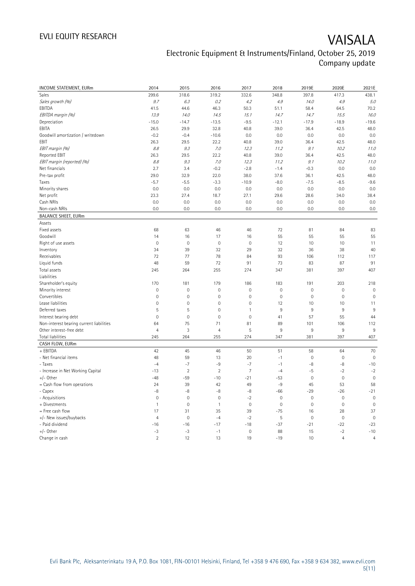# EVLI EQUITY RESEARCH VAISALA

## Electronic Equipment & Instruments/Finland, October 25, 2019 Company update

| <b>INCOME STATEMENT, EURm</b>            | 2014                     | 2015                | 2016           | 2017           | 2018           | 2019E               | 2020E               | 2021E               |
|------------------------------------------|--------------------------|---------------------|----------------|----------------|----------------|---------------------|---------------------|---------------------|
| Sales                                    | 299.6                    | 318.6               | 319.2          | 332.6          | 348.8          | 397.8               | 417.3               | 438.1               |
| Sales growth (%)                         | 9.7                      | 6.3                 | 0.2            | 4.2            | 4.9            | 14.0                | 4.9                 | 5.0                 |
| EBITDA                                   | 41.5                     | 44.6                | 46.3           | 50.3           | 51.1           | 58.4                | 64.5                | 70.2                |
| EBITDA margin (%)                        | 13.9                     | 14.0                | 14.5           | 15.1           | 14.7           | 14.7                | 15.5                | 16.0                |
| Depreciation                             | $-15.0$                  | $-14.7$             | $-13.5$        | $-9.5$         | $-12.1$        | $-17.9$             | $-18.9$             | $-19.6$             |
| EBITA                                    | 26.5                     | 29.9                | 32.8           | 40.8           | 39.0           | 36.4                | 42.5                | 48.0                |
| Goodwill amortization / writedown        | $-0.2$                   | $-0.4$              | $-10.6$        | 0.0            | 0.0            | 0.0                 | 0.0                 | 0.0                 |
| EBIT                                     | 26.3                     | 29.5                | 22.2           | 40.8           | 39.0           | 36.4                | 42.5                | 48.0                |
|                                          | 8.8                      | 9.3                 | 7.0            | 12.3           | 11.2           | 9.1                 | 10.2                | 11.0                |
| EBIT margin (%)<br>Reported EBIT         | 26.3                     | 29.5                | 22.2           | 40.8           | 39.0           | 36.4                | 42.5                | 48.0                |
| EBIT margin (reported) (%)               |                          | 9.3                 |                |                |                | 9.1                 | 10.2                |                     |
|                                          | $\mathcal{S}\mathcal{S}$ |                     | 7.0            | 12.3           | 11.2           |                     |                     | 11.0                |
| Net financials                           | 2.7                      | 3.4                 | $-0.2$         | $-2.8$         | $-1.4$         | $-0.3$              | 0.0                 | 0.0                 |
| Pre-tax profit                           | 29.0                     | 32.9                | 22.0           | 38.0           | 37.6           | 36.1                | 42.5                | 48.0                |
| Taxes                                    | $-5.7$                   | $-5.5$              | $-3.3$         | $-10.9$        | $-8.0$         | $-7.5$              | $-8.5$              | $-9.6$              |
| Minority shares                          | 0.0                      | 0.0                 | 0.0            | 0.0            | 0.0            | 0.0                 | 0.0                 | 0.0                 |
| Net profit                               | 23.3                     | 27.4                | 18.7           | 27.1           | 29.6           | 28.6                | 34.0                | 38.4                |
| Cash NRIs                                | 0.0                      | 0.0                 | 0.0            | 0.0            | 0.0            | 0.0                 | 0.0                 | 0.0                 |
| Non-cash NRIs                            | 0.0                      | 0.0                 | 0.0            | 0.0            | 0.0            | 0.0                 | 0.0                 | $0.0\,$             |
| <b>BALANCE SHEET, EURm</b>               |                          |                     |                |                |                |                     |                     |                     |
| Assets                                   |                          |                     |                |                |                |                     |                     |                     |
| Fixed assets                             | 68                       | 63                  | 46             | 46             | 72             | 81                  | 84                  | 83                  |
| Goodwill                                 | 14                       | 16                  | 17             | 16             | 55             | 55                  | 55                  | 55                  |
| Right of use assets                      | $\mathbf 0$              | $\mathbf 0$         | 0              | $\mathbf 0$    | 12             | 10                  | 10                  | 11                  |
| Inventory                                | 34                       | 39                  | 32             | 29             | 32             | 36                  | 38                  | 40                  |
| Receivables                              | 72                       | 77                  | 78             | 84             | 93             | 106                 | 112                 | 117                 |
| Liquid funds                             | 48                       | 59                  | 72             | 91             | 73             | 83                  | 87                  | 91                  |
| Total assets                             | 245                      | 264                 | 255            | 274            | 347            | 381                 | 397                 | 407                 |
| Liabilities                              |                          |                     |                |                |                |                     |                     |                     |
| Shareholder's equity                     | 170                      | 181                 | 179            | 186            | 183            | 191                 | 203                 | 218                 |
| Minority interest                        | $\mathbf 0$              | 0                   | $\mathbf 0$    | $\mathbf 0$    | $\mathbf 0$    | $\mathbf 0$         | $\mathbf 0$         | $\mathbf 0$         |
| Convertibles                             | $\mathbf{0}$             | $\mathsf{O}\xspace$ | 0              | $\mathbb O$    | $\overline{0}$ | $\mathsf{O}\xspace$ | $\mathbf 0$         | $\mathbf{0}$        |
| Lease liabilities                        | $\mathbf 0$              | $\mathbf 0$         | 0              | $\mathbf 0$    | 12             | 10                  | 10                  | 11                  |
| Deferred taxes                           | 5                        | 5                   | $\mathbf 0$    | $\mathbf{1}$   | $9\,$          | 9                   | $9\,$               | 9                   |
| Interest bearing debt                    | $\mathbf 0$              | $\mathbf 0$         | $\mathbf 0$    | $\mathbf 0$    | 41             | 57                  | 55                  | 44                  |
| Non-interest bearing current liabilities | 64                       | 75                  | 71             | 81             | 89             | 101                 | 106                 | 112                 |
| Other interest-free debt                 | $\overline{4}$           | 3                   | $\overline{4}$ | 5              | 9              | 9                   | $9\,$               | $9\,$               |
| Total liabilities                        | 245                      | 264                 | 255            | 274            | 347            | 381                 | 397                 | 407                 |
| CASH FLOW, EURm                          |                          |                     |                |                |                |                     |                     |                     |
| + EBITDA                                 | 42                       | 45                  | 46             | 50             | 51             | 58                  | 64                  | 70                  |
| - Net financial items                    | 48                       | 59                  | 13             | 20             | $-1$           | $\mathbf 0$         | $\mathsf{O}\xspace$ | $\mathbf 0$         |
| - Taxes                                  | $-4$                     | $-7$                | -9             | $-7$           | $-1$           | $-8$                | -8                  | $-10$               |
| - Increase in Net Working Capital        | $-13$                    | $\overline{2}$      | $\overline{2}$ | $\overline{7}$ | $-4$           | $-5$                | $-2$                | $-2$                |
| $+/-$ Other                              | $-48$                    | $-59$               | $-10$          | $-21$          | $-53$          | $\mathsf{O}\xspace$ | $\mathbf 0$         | $\mathsf{O}\xspace$ |
| = Cash flow from operations              | 24                       | 39                  | 42             | 49             | $-9$           | 45                  | 53                  | 58                  |
| - Capex                                  | $-8$                     | $-8$                | -8             | $-8$           | $-66$          | $-29$               | $-26$               | $-21$               |
| - Acquisitions                           | $\mathbf{0}$             | $\mathbf 0$         | $\mathbf 0$    | $-2$           | $\mathbf 0$    | $\mathbf 0$         | $\mathbf 0$         | $\mathbf 0$         |
| + Divestments                            | $\mathbf{1}$             | $\mathbf 0$         | $\mathbf{1}$   | $\mathbf 0$    | $\mathbf 0$    | $\mathsf{O}\xspace$ | $\mathbf 0$         | $\mathbf 0$         |
| = Free cash flow                         | 17                       | 31                  | 35             | 39             | $-75$          | 16                  | 28                  | 37                  |
| +/- New issues/buybacks                  | $\overline{4}$           | $\mathbf 0$         | $-4$           | $-2$           | $\sqrt{5}$     | $\mathsf{O}\xspace$ | $\mathbf 0$         | $\mathbf 0$         |
| - Paid dividend                          | $-16$                    | $-16$               | $-17$          | $-18$          | $-37$          | $-21$               | $-22$               | $-23$               |
| $+/-$ Other                              | $-3$                     | $-3$                | $-1$           | $\mathbf 0$    | 88             | 15                  | $-2$                | $-10$               |
| Change in cash                           | $\overline{2}$           | 12                  | 13             | 19             | $-19$          | 10                  | $\overline{4}$      | $\overline{4}$      |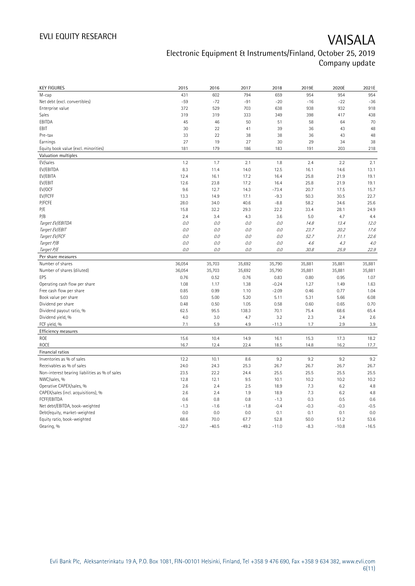| <b>KEY FIGURES</b>                                              | 2015           | 2016           | 2017           | 2018               | 2019E          | 2020E          | 2021E        |
|-----------------------------------------------------------------|----------------|----------------|----------------|--------------------|----------------|----------------|--------------|
| M-cap                                                           | 431            | 602            | 794            | 659                | 954            | 954            | 954          |
| Net debt (excl. convertibles)                                   | $-59$          | $-72$          | $-91$          | $-20$              | $-16$          | $-22$          | $-36$        |
| Enterprise value                                                | 372            | 529            | 703            | 638                | 938            | 932            | 918          |
| Sales                                                           | 319            | 319            | 333            | 349                | 398            | 417            | 438          |
| EBITDA                                                          | 45             | 46             | 50             | 51                 | 58             | 64             | 70           |
| EBIT                                                            | 30             | 22             | 41             | 39                 | 36             | 43             | 48           |
| Pre-tax                                                         | 33             | 22             | 38             | 38                 | 36             | 43             | 48           |
| Earnings                                                        | 27             | 19             | 27             | 30                 | 29             | 34             | 38           |
| Equity book value (excl. minorities)                            | 181            | 179            | 186            | 183                | 191            | 203            | 218          |
| Valuation multiples                                             |                |                |                |                    |                |                |              |
| EV/sales                                                        | 1.2            | 1.7            | 2.1            | 1.8                | 2.4            | 2.2            | 2.1          |
| EV/EBITDA                                                       | 8.3            | 11.4           | 14.0           | 12.5               | 16.1           | 14.6           | 13.1         |
| EV/EBITA                                                        | 12.4           | 16.1           | 17.2           | 16.4               | 25.8           | 21.9           | 19.1         |
| EV/EBIT                                                         | 12.6           | 23.8           | 17.2           | 16.4               | 25.8           | 21.9           | 19.1         |
| EV/OCF                                                          | 9.6            | 12.7           | 14.3           | $-73.4$            | 20.7           | 17.5           | 15.7         |
| EV/FCFF                                                         | 13.3           | 14.9           | 17.1           | $-9.3$             | 50.3           | 30.5           | 22.7         |
| P/FCFE                                                          | 28.0           | 34.0           | 40.6           | $-8.8$             | 58.2           | 34.6           | 25.6         |
| P/E                                                             | 15.8           | 32.2           | 29.3           | 22.2               | 33.4           | 28.1           | 24.9         |
| P/B                                                             | 2.4            | 3.4            | 4.3            | 3.6                | 5.0            | 4.7            | 4.4          |
| Target EV/EBITDA                                                | 0.0            | 0.0            | 0.0            | 0.0                | 14.8           | 13.4           | 12.0         |
| Target EV/EBIT                                                  | 0.0            | 0.0            | 0.0            | 0.0                | 23.7           | 20.2           | 17.6         |
| Target EV/FCF                                                   | 0.0            | 0.0            | 0.0            | 0.0                | 52.7           | 31.1           | 22.6         |
| Target P/B                                                      | $O.O$          | 0.0            | $0.0\,$        | O.O                | 4.6            | 4.3            | 4.0          |
| Target P/E                                                      | 0.0            | 0.0            | 0.0            | 0.0                | 30.8           | 25.9           | 22.9         |
| Per share measures                                              |                |                |                |                    |                |                |              |
|                                                                 |                |                |                |                    |                |                |              |
|                                                                 |                |                |                |                    |                |                |              |
| Number of shares<br>Number of shares (diluted)                  | 36,054         | 35,703         | 35,692         | 35,790             | 35,881         | 35,881         | 35,881       |
| EPS                                                             | 36,054<br>0.76 | 35,703<br>0.52 | 35,692<br>0.76 | 35,790             | 35,881<br>0.80 | 35,881<br>0.95 | 35,881       |
|                                                                 | 1.08           |                |                | 0.83               | 1.27           | 1.49           | 1.07         |
| Operating cash flow per share<br>Free cash flow per share       | 0.85           | 1.17<br>0.99   | 1.38<br>1.10   | $-0.24$<br>$-2.09$ | 0.46           | 0.77           | 1.63<br>1.04 |
|                                                                 | 5.03           | 5.00           | 5.20           | 5.11               | 5.31           | 5.66           | 6.08         |
| Book value per share<br>Dividend per share                      | 0.48           | 0.50           | 1.05           | 0.58               | 0.60           | 0.65           | 0.70         |
| Dividend payout ratio, %                                        | 62.5           | 95.5           | 138.3          | 70.1               | 75.4           | 68.6           | 65.4         |
| Dividend yield, %                                               | 4.0            | 3.0            | 4.7            | 3.2                | 2.3            | 2.4            | 2.6          |
| FCF yield, %                                                    | 7.1            | 5.9            | 4.9            | $-11.3$            | 1.7            | 2.9            | 3.9          |
| Efficiency measures                                             |                |                |                |                    |                |                |              |
| <b>ROE</b>                                                      | 15.6           | 10.4           | 14.9           | 16.1               | 15.3           | 17.3           | 18.2         |
| <b>ROCE</b>                                                     | 16.7           | 12.4           | 22.4           | 18.5               | 14.8           | 16.2           |              |
| Financial ratios                                                |                |                |                |                    |                |                | 17.7         |
| Inventories as % of sales                                       | 12.2           | 10.1           | 8.6            | 9.2                | 9.2            | 9.2            | 9.2          |
|                                                                 |                |                |                |                    |                |                |              |
| Receivables as % of sales                                       | 24.0           | 24.3           | 25.3           | 26.7               | 26.7           | 26.7           | 26.7         |
| Non-interest bearing liabilities as % of sales<br>NWC/sales, %  | 23.5<br>12.8   | 22.2<br>12.1   | 24.4<br>9.5    | 25.5<br>10.1       | 25.5<br>10.2   | 25.5<br>10.2   | 25.5<br>10.2 |
|                                                                 |                |                |                |                    |                |                |              |
| Operative CAPEX/sales, %<br>CAPEX/sales (incl. acquisitions), % | 2.6<br>2.6     | 2.4<br>2.4     | 2.5<br>1.9     | 18.9<br>18.9       | 7.3<br>7.3     | 6.2<br>6.2     | 4.8<br>4.8   |
| FCFF/EBITDA                                                     | 0.6            | 0.8            | 0.8            | $-1.3$             | 0.3            | 0.5            | 0.6          |
| Net debt/EBITDA, book-weighted                                  | $-1.3$         | $-1.6$         | $-1.8$         | $-0.4$             | $-0.3$         | $-0.3$         | $-0.5$       |
| Debt/equity, market-weighted                                    | 0.0            | 0.0            | 0.0            | 0.1                | 0.1            | 0.1            | 0.0          |
| Equity ratio, book-weighted                                     | 68.6           | 70.0           | 67.7           | 52.8               | 50.0           | 51.2           | 53.6         |
| Gearing, %                                                      | $-32.7$        | $-40.5$        | $-49.2$        | $-11.0$            | $-8.3$         | $-10.8$        | $-16.5$      |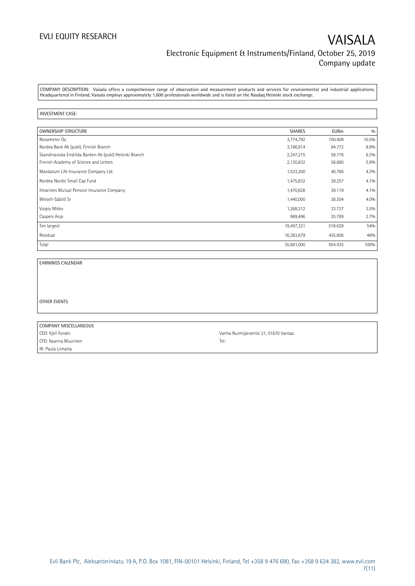COMPANY DESCRIPTION: Vaisala offers a comprehensive range of observation and measurement products and services for environmental and industrial applications. Headquartered in Finland, Vaisala employs approximately 1,600 professionals worldwide and is listed on the Nasdaq Helsinki stock exchange.

### INVESTMENT CASE:

| <b>OWNERSHIP STRUCTURE</b>                              | <b>SHARES</b> | <b>EURm</b> | 0/0   |
|---------------------------------------------------------|---------------|-------------|-------|
| Novametor Oy                                            | 3,774,792     | 100.409     | 10.5% |
| Nordea Bank Ab (publ), Finnish Branch                   | 3,186,914     | 84.772      | 8.9%  |
| Skandinaviska Enskilda Banken Ab (publ) Helsinki Branch | 2,247,215     | 59.776      | 6.3%  |
| Finnish Academy of Science and Letters                  | 2,130,832     | 56.680      | 5.9%  |
| Mandatum Life Insurance Company Ltd.                    | 1,533,300     | 40.786      | 4.3%  |
| Nordea Nordic Small Cap Fund                            | 1,475,832     | 39.257      | 4.1%  |
| Ilmarinen Mutual Pension Insurance Company              | 1,470,628     | 39.119      | 4.1%  |
| Weisell-Säätiö Sr                                       | 1,440,000     | 38.304      | 4.0%  |
| Voipio Mikko                                            | 1,268,312     | 33.737      | 3.5%  |
| Caspers Anja                                            | 969,496       | 25.789      | 2.7%  |
| Ten largest                                             | 19,497,321    | 518.629     | 54%   |
| Residual                                                | 16,383,679    | 435.806     | 46%   |
| Total                                                   | 35,881,000    | 954.435     | 100%  |

EARNINGS CALENDAR

OTHER EVENTS

| COMPANY MISCELLANEOUS |                                       |
|-----------------------|---------------------------------------|
| CEO: Kjell Forsén     | Vanha Nurmijärventie 21, 01670 Vantaa |
| CFO: Kaarina Muurinen | Tel:                                  |
| IR: Paula Liimatta    |                                       |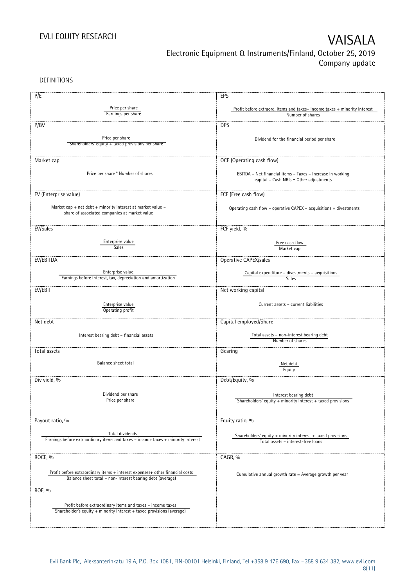DEFINITIONS

| P/E                                                                                                 | EPS                                                                      |  |  |
|-----------------------------------------------------------------------------------------------------|--------------------------------------------------------------------------|--|--|
|                                                                                                     |                                                                          |  |  |
| Price per share                                                                                     | Profit before extraord. items and taxes-income taxes + minority interest |  |  |
| Earnings per share                                                                                  | Number of shares                                                         |  |  |
| P/BV                                                                                                | <b>DPS</b>                                                               |  |  |
|                                                                                                     |                                                                          |  |  |
| Price per share<br>Shareholders' equity + taxed provisions per share                                | Dividend for the financial period per share                              |  |  |
|                                                                                                     |                                                                          |  |  |
| Market cap                                                                                          |                                                                          |  |  |
|                                                                                                     | OCF (Operating cash flow)                                                |  |  |
| Price per share * Number of shares                                                                  | EBITDA - Net financial items - Taxes - Increase in working               |  |  |
|                                                                                                     | capital - Cash NRIs ± Other adjustments                                  |  |  |
|                                                                                                     |                                                                          |  |  |
| EV (Enterprise value)                                                                               | FCF (Free cash flow)                                                     |  |  |
| Market cap + net debt + minority interest at market value -                                         | Operating cash flow - operative CAPEX - acquisitions + divestments       |  |  |
| share of associated companies at market value                                                       |                                                                          |  |  |
|                                                                                                     |                                                                          |  |  |
| EV/Sales                                                                                            | FCF yield, %                                                             |  |  |
|                                                                                                     |                                                                          |  |  |
| Enterprise value<br><b>Sales</b>                                                                    | Free cash flow                                                           |  |  |
|                                                                                                     | Market cap                                                               |  |  |
| EV/EBITDA                                                                                           | Operative CAPEX/sales                                                    |  |  |
|                                                                                                     |                                                                          |  |  |
| Enterprise value<br>Earnings before interest, tax, depreciation and amortization                    | Capital expenditure - divestments - acquisitions<br>Sales                |  |  |
|                                                                                                     |                                                                          |  |  |
| EV/EBIT                                                                                             | Net working capital                                                      |  |  |
|                                                                                                     |                                                                          |  |  |
| Enterprise value<br>Operating profit                                                                | Current assets - current liabilities                                     |  |  |
|                                                                                                     |                                                                          |  |  |
| Net debt                                                                                            | Capital employed/Share                                                   |  |  |
| Interest bearing debt - financial assets                                                            | Total assets - non-interest bearing debt                                 |  |  |
|                                                                                                     | Number of shares                                                         |  |  |
| Total assets                                                                                        | Gearing                                                                  |  |  |
|                                                                                                     |                                                                          |  |  |
| Balance sheet total                                                                                 | Net debt<br>Equity                                                       |  |  |
|                                                                                                     |                                                                          |  |  |
| Div yield, %                                                                                        | Debt/Equity, %                                                           |  |  |
|                                                                                                     |                                                                          |  |  |
| Dividend per share<br>Price per share                                                               | Interest bearing debt                                                    |  |  |
|                                                                                                     | Shareholders' equity + minority interest + taxed provisions              |  |  |
|                                                                                                     |                                                                          |  |  |
| Payout ratio, %                                                                                     | Equity ratio, %                                                          |  |  |
|                                                                                                     |                                                                          |  |  |
| Total dividends<br>Earnings before extraordinary items and taxes - income taxes + minority interest | Shareholders' equity $+$ minority interest $+$ taxed provisions          |  |  |
|                                                                                                     | Total assets - interest-free loans                                       |  |  |
| ROCE, %                                                                                             | CAGR, %                                                                  |  |  |
|                                                                                                     |                                                                          |  |  |
| Profit before extraordinary items + interest expenses+ other financial costs                        |                                                                          |  |  |
| Balance sheet total - non-interest bearing debt (average)                                           | Cumulative annual growth rate = Average growth per year                  |  |  |
|                                                                                                     |                                                                          |  |  |
| ROE, %                                                                                              |                                                                          |  |  |
| Profit before extraordinary items and taxes - income taxes                                          |                                                                          |  |  |
| Shareholder's equity + minority interest + taxed provisions (average)                               |                                                                          |  |  |
|                                                                                                     |                                                                          |  |  |
|                                                                                                     |                                                                          |  |  |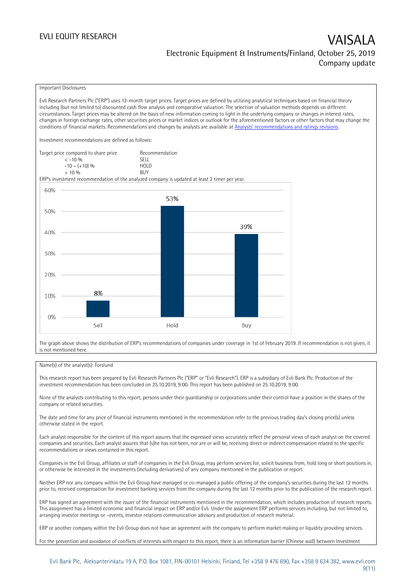### Important Disclosures

Evli Research Partners Plc ("ERP") uses 12-month target prices. Target prices are defined by utilizing analytical techniques based on financial theory including (but not limited to) discounted cash flow analysis and comparative valuation. The selection of valuation methods depends on different circumstances. Target prices may be altered on the basis of new information coming to light in the underlying company or changes in interest rates, changes in foreign exchange rates, other securities prices or market indices or outlook for the aforementioned factors or other factors that may change the conditions of financial markets. Recommendations and changes by analysts are available at [Analysts' recommendations and ratings revisions](https://research.evli.com/JasperAllModels.action?authParam=key;461&authParam=x;G3rNagWrtf7K&authType=3). Investment recommendations are defined as follows: Target price compared to share price Recommendation<br>CELL CALLO 06 < -10 % SELL  $-10 - (+10) \%$  HOL<br>  $> 10 \%$  BUY  $> 10\%$ ERP's investment recommendation of the analyzed company is updated at least 2 timer per year. 60% 53% 50% 39% 40% 30% 20% 8% 10%  $0%$ Hold Sell Buy

The graph above shows the distribution of ERP's recommendations of companies under coverage in 1st of February 2019. If recommendation is not given, it is not mentioned here.

### Name(s) of the analyst(s): Forslund

This research report has been prepared by Evli Research Partners Plc ("ERP" or "Evli Research"). ERP is a subsidiary of Evli Bank Plc. Production of the investment recommendation has been concluded on 25.10.2019, 9:00. This report has been published on 25.10.2019, 9:00.

None of the analysts contributing to this report, persons under their guardianship or corporations under their control have a position in the shares of the company or related securities.

The date and time for any price of financial instruments mentioned in the recommendation refer to the previous trading day's closing price(s) unless otherwise stated in the report.

Each analyst responsible for the content of this report assures that the expressed views accurately reflect the personal views of each analyst on the covered companies and securities. Each analyst assures that (s)he has not been, nor are or will be, receiving direct or indirect compensation related to the specific recommendations or views contained in this report.

Companies in the Evli Group, affiliates or staff of companies in the Evli Group, may perform services for, solicit business from, hold long or short positions in, or otherwise be interested in the investments (including derivatives) of any company mentioned in the publication or report.

Neither ERP nor any company within the Evli Group have managed or co-managed a public offering of the company's securities during the last 12 months prior to, received compensation for investment banking services from the company during the last 12 months prior to the publication of the research report.

ERP has signed an agreement with the issuer of the financial instruments mentioned in the recommendation, which includes production of research reports. This assignment has a limited economic and financial impact on ERP and/or Evli. Under the assignment ERP performs services including, but not limited to, arranging investor meetings or –events, investor relations communication advisory and production of research material.

ERP or another company within the Evli Group does not have an agreement with the company to perform market making or liquidity providing services.

For the prevention and avoidance of conflicts of interests with respect to this report, there is an information barrier (Chinese wall) between Investment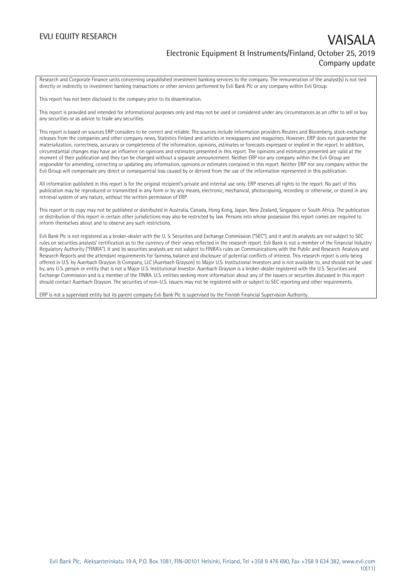Research and Corporate Finance units concerning unpublished investment banking services to the company. The remuneration of the analyst(s) is not tied directly or indirectly to investment banking transactions or other services performed by Evli Bank Plc or any company within Evli Group.

This report has not been disclosed to the company prior to its dissemination.

This report is provided and intended for informational purposes only and may not be used or considered under any circumstances as an offer to sell or buy any securities or as advice to trade any securities.

This report is based on sources ERP considers to be correct and reliable. The sources include information providers Reuters and Bloomberg, stock-exchange releases from the companies and other company news, Statistics Finland and articles in newspapers and magazines. However, ERP does not guarantee the materialization, correctness, accuracy or completeness of the information, opinions, estimates or forecasts expressed or implied in the report. In addition, circumstantial changes may have an influence on opinions and estimates presented in this report. The opinions and estimates presented are valid at the moment of their publication and they can be changed without a separate announcement. Neither ERP nor any company within the Evli Group are responsible for amending, correcting or updating any information, opinions or estimates contained in this report. Neither ERP nor any company within the Evli Group will compensate any direct or consequential loss caused by or derived from the use of the information represented in this publication.

All information published in this report is for the original recipient's private and internal use only. ERP reserves all rights to the report. No part of this publication may be reproduced or transmitted in any form or by any means, electronic, mechanical, photocopying, recording or otherwise, or stored in any retrieval system of any nature, without the written permission of ERP.

This report or its copy may not be published or distributed in Australia, Canada, Hong Kong, Japan, New Zealand, Singapore or South Africa. The publication or distribution of this report in certain other jurisdictions may also be restricted by law. Persons into whose possession this report comes are required to inform themselves about and to observe any such restrictions.

Evli Bank Plc is not registered as a broker-dealer with the U. S. Securities and Exchange Commission ("SEC"), and it and its analysts are not subject to SEC rules on securities analysts' certification as to the currency of their views reflected in the research report. Evli Bank is not a member of the Financial Industry Regulatory Authority ("FINRA"). It and its securities analysts are not subject to FINRA's rules on Communications with the Public and Research Analysts and Research Reports and the attendant requirements for fairness, balance and disclosure of potential conflicts of interest. This research report is only being offered in U.S. by Auerbach Grayson & Company, LLC (Auerbach Grayson) to Major U.S. Institutional Investors and is not available to, and should not be used by, any U.S. person or entity that is not a Major U.S. Institutional Investor. Auerbach Grayson is a broker-dealer registered with the U.S. Securities and Exchange Commission and is a member of the FINRA. U.S. entities seeking more information about any of the issuers or securities discussed in this report should contact Auerbach Grayson. The securities of non-U.S. issuers may not be registered with or subject to SEC reporting and other requirements.

ERP is not a supervised entity but its parent company Evli Bank Plc is supervised by the Finnish Financial Supervision Authority.